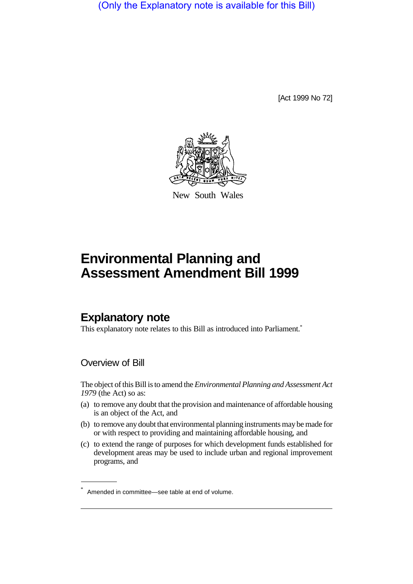(Only the Explanatory note is available for this Bill)

[Act 1999 No 72]



New South Wales

## **Environmental Planning and Assessment Amendment Bill 1999**

## **Explanatory note**

This explanatory note relates to this Bill as introduced into Parliament.<sup>\*</sup>

Overview of Bill

The object of this Bill is to amend the *Environmental Planning and Assessment Act 1979* (the Act) so as:

- (a) to remove any doubt that the provision and maintenance of affordable housing is an object of the Act, and
- (b) to remove any doubt that environmental planning instruments may be made for or with respect to providing and maintaining affordable housing, and
- (c) to extend the range of purposes for which development funds established for development areas may be used to include urban and regional improvement programs, and

<sup>\*</sup> Amended in committee—see table at end of volume.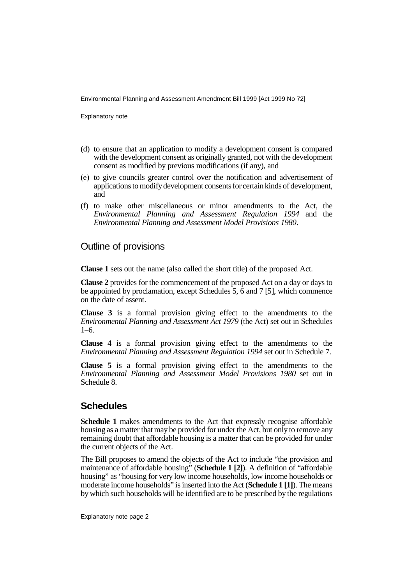Explanatory note

- (d) to ensure that an application to modify a development consent is compared with the development consent as originally granted, not with the development consent as modified by previous modifications (if any), and
- (e) to give councils greater control over the notification and advertisement of applications to modify development consents for certain kinds of development, and
- (f) to make other miscellaneous or minor amendments to the Act, the *Environmental Planning and Assessment Regulation 1994* and the *Environmental Planning and Assessment Model Provisions 1980*.

## Outline of provisions

**Clause 1** sets out the name (also called the short title) of the proposed Act.

**Clause 2** provides for the commencement of the proposed Act on a day or days to be appointed by proclamation, except Schedules 5, 6 and 7 [5], which commence on the date of assent.

**Clause 3** is a formal provision giving effect to the amendments to the *Environmental Planning and Assessment Act 1979* (the Act) set out in Schedules 1–6.

**Clause 4** is a formal provision giving effect to the amendments to the *Environmental Planning and Assessment Regulation 1994* set out in Schedule 7.

**Clause 5** is a formal provision giving effect to the amendments to the *Environmental Planning and Assessment Model Provisions 1980* set out in Schedule 8.

## **Schedules**

**Schedule 1** makes amendments to the Act that expressly recognise affordable housing as a matter that may be provided for under the Act, but only to remove any remaining doubt that affordable housing is a matter that can be provided for under the current objects of the Act.

The Bill proposes to amend the objects of the Act to include "the provision and maintenance of affordable housing" (**Schedule 1 [2]**). A definition of "affordable housing" as "housing for very low income households, low income households or moderate income households" is inserted into the Act (**Schedule 1 [1]**). The means by which such households will be identified are to be prescribed by the regulations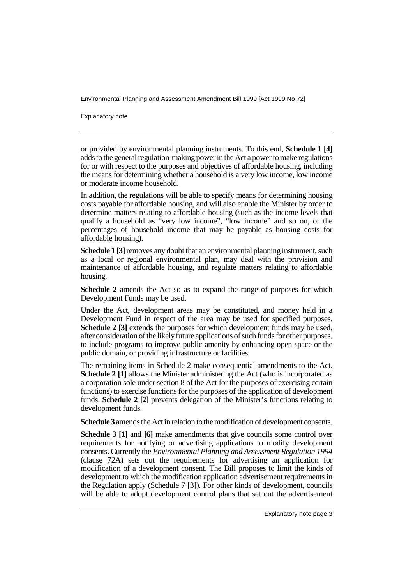Explanatory note

or provided by environmental planning instruments. To this end, **Schedule 1 [4]** adds to the general regulation-making power in the Act a power to make regulations for or with respect to the purposes and objectives of affordable housing, including the means for determining whether a household is a very low income, low income or moderate income household.

In addition, the regulations will be able to specify means for determining housing costs payable for affordable housing, and will also enable the Minister by order to determine matters relating to affordable housing (such as the income levels that qualify a household as "very low income", "low income" and so on, or the percentages of household income that may be payable as housing costs for affordable housing).

**Schedule 1 [3]** removes any doubt that an environmental planning instrument, such as a local or regional environmental plan, may deal with the provision and maintenance of affordable housing, and regulate matters relating to affordable housing.

**Schedule 2** amends the Act so as to expand the range of purposes for which Development Funds may be used.

Under the Act, development areas may be constituted, and money held in a Development Fund in respect of the area may be used for specified purposes. **Schedule 2 [3]** extends the purposes for which development funds may be used, after consideration of the likely future applications of such funds for other purposes, to include programs to improve public amenity by enhancing open space or the public domain, or providing infrastructure or facilities.

The remaining items in Schedule 2 make consequential amendments to the Act. **Schedule 2 [1]** allows the Minister administering the Act (who is incorporated as a corporation sole under section 8 of the Act for the purposes of exercising certain functions) to exercise functions for the purposes of the application of development funds. **Schedule 2 [2]** prevents delegation of the Minister's functions relating to development funds.

**Schedule 3** amends the Act in relation to the modification of development consents.

**Schedule 3 [1]** and **[6]** make amendments that give councils some control over requirements for notifying or advertising applications to modify development consents. Currently the *Environmental Planning and Assessment Regulation 1994* (clause 72A) sets out the requirements for advertising an application for modification of a development consent. The Bill proposes to limit the kinds of development to which the modification application advertisement requirements in the Regulation apply (Schedule 7 [3]). For other kinds of development, councils will be able to adopt development control plans that set out the advertisement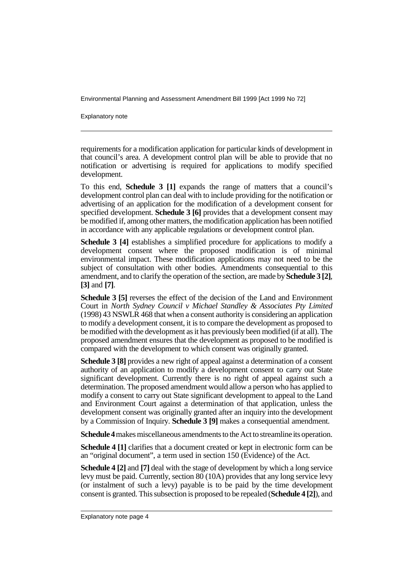Explanatory note

requirements for a modification application for particular kinds of development in that council's area. A development control plan will be able to provide that no notification or advertising is required for applications to modify specified development.

To this end, **Schedule 3 [1]** expands the range of matters that a council's development control plan can deal with to include providing for the notification or advertising of an application for the modification of a development consent for specified development. **Schedule 3 [6]** provides that a development consent may be modified if, among other matters, the modification application has been notified in accordance with any applicable regulations or development control plan.

**Schedule 3 [4]** establishes a simplified procedure for applications to modify a development consent where the proposed modification is of minimal environmental impact. These modification applications may not need to be the subject of consultation with other bodies. Amendments consequential to this amendment, and to clarify the operation of the section, are made by **Schedule 3 [2]**, **[3]** and **[7]**.

**Schedule 3 [5]** reverses the effect of the decision of the Land and Environment Court in *North Sydney Council v Michael Standley & Associates Pty Limited* (1998) 43 NSWLR 468 that when a consent authority is considering an application to modify a development consent, it is to compare the development as proposed to be modified with the development as it has previously been modified (if at all). The proposed amendment ensures that the development as proposed to be modified is compared with the development to which consent was originally granted.

**Schedule 3 [8]** provides a new right of appeal against a determination of a consent authority of an application to modify a development consent to carry out State significant development. Currently there is no right of appeal against such a determination. The proposed amendment would allow a person who has applied to modify a consent to carry out State significant development to appeal to the Land and Environment Court against a determination of that application, unless the development consent was originally granted after an inquiry into the development by a Commission of Inquiry. **Schedule 3 [9]** makes a consequential amendment.

**Schedule 4** makes miscellaneous amendments to the Act to streamline its operation.

**Schedule 4 [1]** clarifies that a document created or kept in electronic form can be an "original document", a term used in section 150 (Evidence) of the Act.

**Schedule 4 [2]** and **[7]** deal with the stage of development by which a long service levy must be paid. Currently, section 80 (10A) provides that any long service levy (or instalment of such a levy) payable is to be paid by the time development consent is granted. This subsection is proposed to be repealed (**Schedule 4 [2]**), and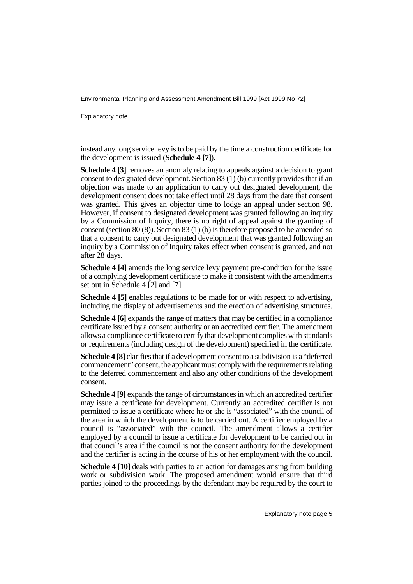Explanatory note

instead any long service levy is to be paid by the time a construction certificate for the development is issued (**Schedule 4 [7]**).

**Schedule 4 [3]** removes an anomaly relating to appeals against a decision to grant consent to designated development. Section  $83 \overline{11}$  (b) currently provides that if an objection was made to an application to carry out designated development, the development consent does not take effect until 28 days from the date that consent was granted. This gives an objector time to lodge an appeal under section 98. However, if consent to designated development was granted following an inquiry by a Commission of Inquiry, there is no right of appeal against the granting of consent (section 80 (8)). Section 83 (1) (b) is therefore proposed to be amended so that a consent to carry out designated development that was granted following an inquiry by a Commission of Inquiry takes effect when consent is granted, and not after 28 days.

**Schedule 4 [4]** amends the long service levy payment pre-condition for the issue of a complying development certificate to make it consistent with the amendments set out in Schedule 4 [2] and [7].

**Schedule 4 [5]** enables regulations to be made for or with respect to advertising, including the display of advertisements and the erection of advertising structures.

**Schedule 4 [6]** expands the range of matters that may be certified in a compliance certificate issued by a consent authority or an accredited certifier. The amendment allows a compliance certificate to certify that development complies with standards or requirements (including design of the development) specified in the certificate.

**Schedule 4 [8]** clarifies that if a development consent to a subdivision is a "deferred commencement" consent, the applicant must comply with the requirements relating to the deferred commencement and also any other conditions of the development consent.

**Schedule 4 [9]** expands the range of circumstances in which an accredited certifier may issue a certificate for development. Currently an accredited certifier is not permitted to issue a certificate where he or she is "associated" with the council of the area in which the development is to be carried out. A certifier employed by a council is "associated" with the council. The amendment allows a certifier employed by a council to issue a certificate for development to be carried out in that council's area if the council is not the consent authority for the development and the certifier is acting in the course of his or her employment with the council.

**Schedule 4 [10]** deals with parties to an action for damages arising from building work or subdivision work. The proposed amendment would ensure that third parties joined to the proceedings by the defendant may be required by the court to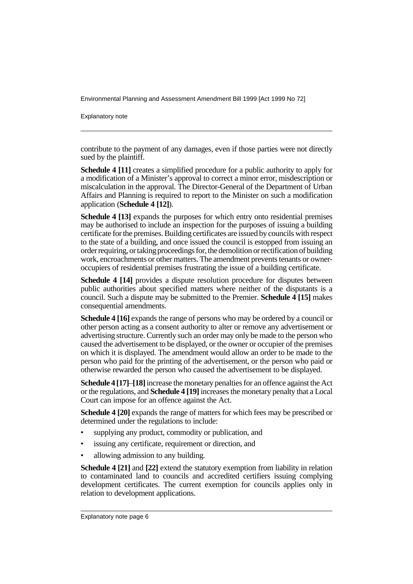Explanatory note

contribute to the payment of any damages, even if those parties were not directly sued by the plaintiff.

**Schedule 4 [11]** creates a simplified procedure for a public authority to apply for a modification of a Minister's approval to correct a minor error, misdescription or miscalculation in the approval. The Director-General of the Department of Urban Affairs and Planning is required to report to the Minister on such a modification application (**Schedule 4 [12]**).

**Schedule 4 [13]** expands the purposes for which entry onto residential premises may be authorised to include an inspection for the purposes of issuing a building certificate for the premises. Building certificates are issued by councils with respect to the state of a building, and once issued the council is estopped from issuing an order requiring, or taking proceedings for, the demolition or rectification of building work, encroachments or other matters. The amendment prevents tenants or owneroccupiers of residential premises frustrating the issue of a building certificate.

**Schedule 4 [14]** provides a dispute resolution procedure for disputes between public authorities about specified matters where neither of the disputants is a council. Such a dispute may be submitted to the Premier. **Schedule 4 [15]** makes consequential amendments.

**Schedule 4 [16]** expands the range of persons who may be ordered by a council or other person acting as a consent authority to alter or remove any advertisement or advertising structure. Currently such an order may only be made to the person who caused the advertisement to be displayed, or the owner or occupier of the premises on which it is displayed. The amendment would allow an order to be made to the person who paid for the printing of the advertisement, or the person who paid or otherwise rewarded the person who caused the advertisement to be displayed.

**Schedule 4 [17]**–**[18]** increase the monetary penalties for an offence against the Act or the regulations, and **Schedule 4 [19]** increases the monetary penalty that a Local Court can impose for an offence against the Act.

**Schedule 4 [20]** expands the range of matters for which fees may be prescribed or determined under the regulations to include:

- supplying any product, commodity or publication, and
- issuing any certificate, requirement or direction, and
- allowing admission to any building.

**Schedule 4 [21]** and **[22]** extend the statutory exemption from liability in relation to contaminated land to councils and accredited certifiers issuing complying development certificates. The current exemption for councils applies only in relation to development applications.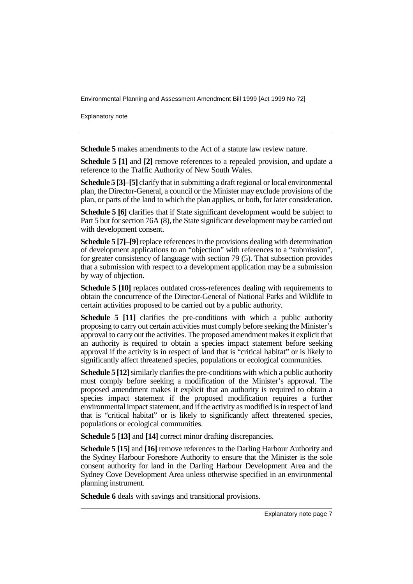Explanatory note

**Schedule 5** makes amendments to the Act of a statute law review nature.

**Schedule 5 [1]** and **[2]** remove references to a repealed provision, and update a reference to the Traffic Authority of New South Wales.

**Schedule 5 [3]**–**[5]** clarify that in submitting a draft regional or local environmental plan, the Director-General, a council or the Minister may exclude provisions of the plan, or parts of the land to which the plan applies, or both, for later consideration.

**Schedule 5 [6]** clarifies that if State significant development would be subject to Part 5 but for section 76A (8), the State significant development may be carried out with development consent.

**Schedule 5 [7]–[9]** replace references in the provisions dealing with determination of development applications to an "objection" with references to a "submission", for greater consistency of language with section 79 (5). That subsection provides that a submission with respect to a development application may be a submission by way of objection.

**Schedule 5 [10]** replaces outdated cross-references dealing with requirements to obtain the concurrence of the Director-General of National Parks and Wildlife to certain activities proposed to be carried out by a public authority.

**Schedule 5 [11]** clarifies the pre-conditions with which a public authority proposing to carry out certain activities must comply before seeking the Minister's approval to carry out the activities. The proposed amendment makes it explicit that an authority is required to obtain a species impact statement before seeking approval if the activity is in respect of land that is "critical habitat" or is likely to significantly affect threatened species, populations or ecological communities.

**Schedule 5 [12]** similarly clarifies the pre-conditions with which a public authority must comply before seeking a modification of the Minister's approval. The proposed amendment makes it explicit that an authority is required to obtain a species impact statement if the proposed modification requires a further environmental impact statement, and if the activity as modified is in respect of land that is "critical habitat" or is likely to significantly affect threatened species, populations or ecological communities.

**Schedule 5 [13]** and **[14]** correct minor drafting discrepancies.

**Schedule 5 [15]** and **[16]** remove references to the Darling Harbour Authority and the Sydney Harbour Foreshore Authority to ensure that the Minister is the sole consent authority for land in the Darling Harbour Development Area and the Sydney Cove Development Area unless otherwise specified in an environmental planning instrument.

**Schedule 6** deals with savings and transitional provisions.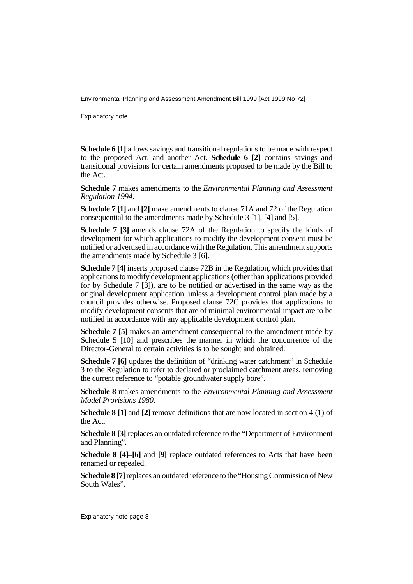Explanatory note

**Schedule 6 [1]** allows savings and transitional regulations to be made with respect to the proposed Act, and another Act. **Schedule 6 [2]** contains savings and transitional provisions for certain amendments proposed to be made by the Bill to the Act.

**Schedule 7** makes amendments to the *Environmental Planning and Assessment Regulation 1994*.

**Schedule 7 [1]** and **[2]** make amendments to clause 71A and 72 of the Regulation consequential to the amendments made by Schedule 3 [1], [4] and [5].

**Schedule 7 [3]** amends clause 72A of the Regulation to specify the kinds of development for which applications to modify the development consent must be notified or advertised in accordance with the Regulation. This amendment supports the amendments made by Schedule 3 [6].

**Schedule 7 [4]** inserts proposed clause 72B in the Regulation, which provides that applications to modify development applications (other than applications provided for by Schedule 7 [3]), are to be notified or advertised in the same way as the original development application, unless a development control plan made by a council provides otherwise. Proposed clause 72C provides that applications to modify development consents that are of minimal environmental impact are to be notified in accordance with any applicable development control plan.

**Schedule 7 [5]** makes an amendment consequential to the amendment made by Schedule 5 [10] and prescribes the manner in which the concurrence of the Director-General to certain activities is to be sought and obtained.

**Schedule 7 [6]** updates the definition of "drinking water catchment" in Schedule 3 to the Regulation to refer to declared or proclaimed catchment areas, removing the current reference to "potable groundwater supply bore".

**Schedule 8** makes amendments to the *Environmental Planning and Assessment Model Provisions 1980*.

**Schedule 8 [1]** and [2] remove definitions that are now located in section 4 (1) of the Act.

**Schedule 8 [3]** replaces an outdated reference to the "Department of Environment" and Planning".

**Schedule 8 [4]**–**[6]** and **[9]** replace outdated references to Acts that have been renamed or repealed.

**Schedule 8 [7]** replaces an outdated reference to the "Housing Commission of New South Wales".

Explanatory note page 8